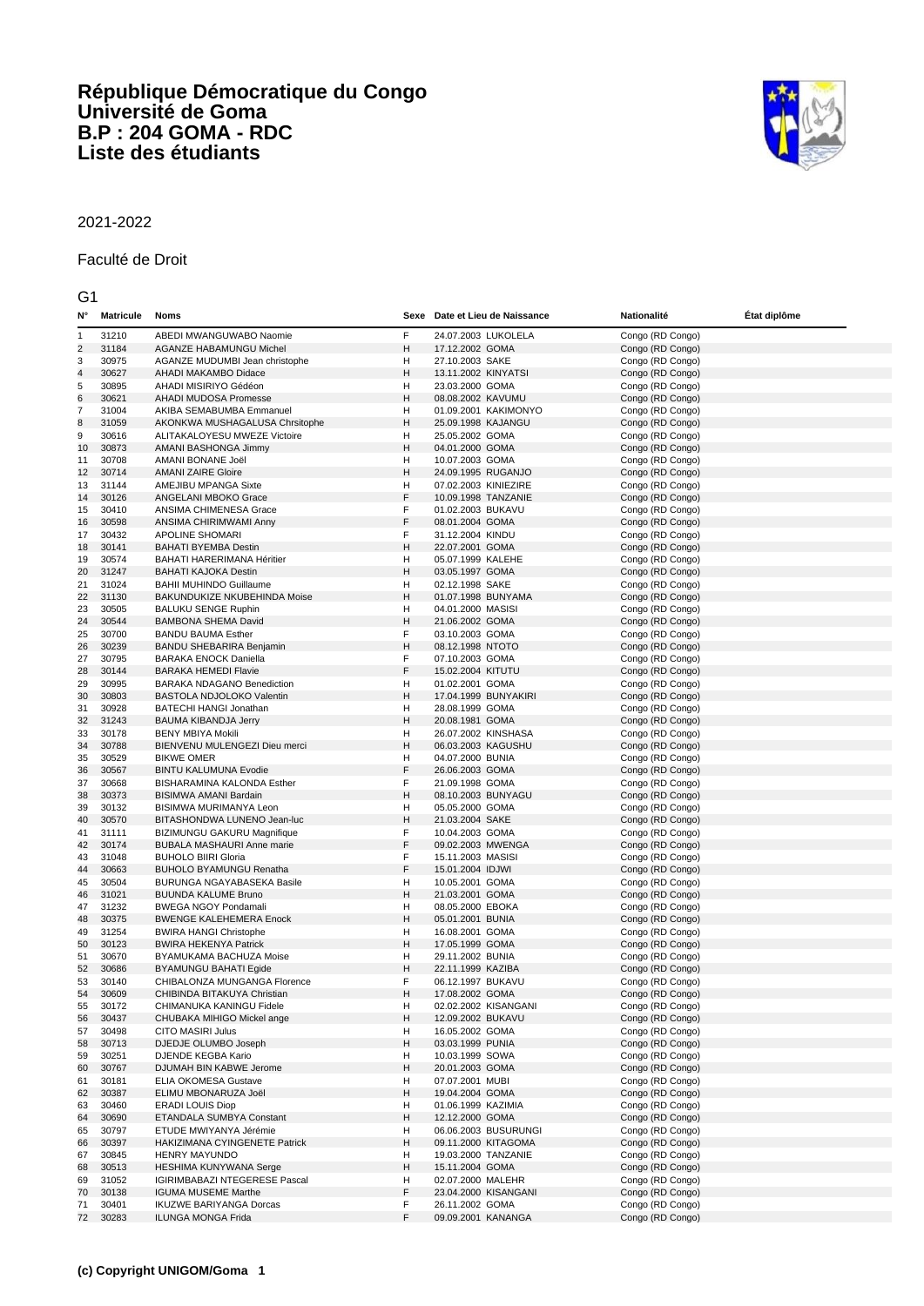## **République Démocratique du Congo Université de Goma B.P : 204 GOMA - RDC Liste des étudiants**



## 2021-2022

## Faculté de Droit

G1

| N۰                      | <b>Matricule</b> | <b>Noms</b>                                                |        | Sexe Date et Lieu de Naissance            | <b>Nationalité</b>                   | État diplôme |
|-------------------------|------------------|------------------------------------------------------------|--------|-------------------------------------------|--------------------------------------|--------------|
| 1                       | 31210            | ABEDI MWANGUWABO Naomie                                    | F      | 24.07.2003 LUKOLELA                       | Congo (RD Congo)                     |              |
| $\overline{\mathbf{c}}$ | 31184            | <b>AGANZE HABAMUNGU Michel</b>                             | н      | 17.12.2002 GOMA                           | Congo (RD Congo)                     |              |
| 3                       | 30975            | AGANZE MUDUMBI Jean christophe                             | н      | 27.10.2003 SAKE                           | Congo (RD Congo)                     |              |
| 4                       | 30627            | AHADI MAKAMBO Didace                                       | н      | 13.11.2002 KINYATSI                       | Congo (RD Congo)                     |              |
| 5                       | 30895            | AHADI MISIRIYO Gédéon                                      | н      | 23.03.2000 GOMA                           | Congo (RD Congo)                     |              |
| 6                       | 30621            | AHADI MUDOSA Promesse                                      | н      | 08.08.2002 KAVUMU                         | Congo (RD Congo)                     |              |
| 7                       | 31004            | AKIBA SEMABUMBA Emmanuel                                   | н      | 01.09.2001 KAKIMONYO                      | Congo (RD Congo)                     |              |
| 8                       | 31059            | AKONKWA MUSHAGALUSA Chrsitophe                             | н      | 25.09.1998 KAJANGU                        | Congo (RD Congo)                     |              |
| 9                       | 30616            | ALITAKALOYESU MWEZE Victoire                               | н      | 25.05.2002 GOMA                           | Congo (RD Congo)                     |              |
| 10                      | 30873            | AMANI BASHONGA Jimmy                                       | н      | 04.01.2000 GOMA                           | Congo (RD Congo)                     |              |
| 11                      | 30708            | AMANI BONANE Joël                                          | н      | 10.07.2003 GOMA                           | Congo (RD Congo)                     |              |
| 12                      | 30714            | <b>AMANI ZAIRE Gloire</b>                                  | н      | 24.09.1995 RUGANJO                        | Congo (RD Congo)                     |              |
| 13                      | 31144            | AMEJIBU MPANGA Sixte                                       | н<br>F | 07.02.2003 KINIEZIRE                      | Congo (RD Congo)                     |              |
| 14                      | 30126<br>30410   | ANGELANI MBOKO Grace                                       | F      | 10.09.1998 TANZANIE                       | Congo (RD Congo)<br>Congo (RD Congo) |              |
| 15<br>16                | 30598            | ANSIMA CHIMENESA Grace<br>ANSIMA CHIRIMWAMI Anny           | F      | 01.02.2003 BUKAVU<br>08.01.2004 GOMA      | Congo (RD Congo)                     |              |
| 17                      | 30432            | <b>APOLINE SHOMARI</b>                                     | F      | 31.12.2004 KINDU                          | Congo (RD Congo)                     |              |
| 18                      | 30141            | <b>BAHATI BYEMBA Destin</b>                                | н      | 22.07.2001 GOMA                           | Congo (RD Congo)                     |              |
| 19                      | 30574            | BAHATI HARERIMANA Héritier                                 | н      | 05.07.1999 KALEHE                         | Congo (RD Congo)                     |              |
| 20                      | 31247            | BAHATI KAJOKA Destin                                       | н      | 03.05.1997 GOMA                           | Congo (RD Congo)                     |              |
| 21                      | 31024            | <b>BAHII MUHINDO Guillaume</b>                             | н      | 02.12.1998 SAKE                           | Congo (RD Congo)                     |              |
| 22                      | 31130            | BAKUNDUKIZE NKUBEHINDA Moise                               | н      | 01.07.1998 BUNYAMA                        | Congo (RD Congo)                     |              |
| 23                      | 30505            | <b>BALUKU SENGE Ruphin</b>                                 | н      | 04.01.2000 MASISI                         | Congo (RD Congo)                     |              |
| 24                      | 30544            | <b>BAMBONA SHEMA David</b>                                 | н      | 21.06.2002 GOMA                           | Congo (RD Congo)                     |              |
| 25                      | 30700            | <b>BANDU BAUMA Esther</b>                                  | F      | 03.10.2003 GOMA                           | Congo (RD Congo)                     |              |
| 26                      | 30239            | BANDU SHEBARIRA Benjamin                                   | н      | 08.12.1998 NTOTO                          | Congo (RD Congo)                     |              |
| 27                      | 30795            | <b>BARAKA ENOCK Daniella</b>                               | F      | 07.10.2003 GOMA                           | Congo (RD Congo)                     |              |
| 28                      | 30144            | <b>BARAKA HEMEDI Flavie</b>                                | F      | 15.02.2004 KITUTU                         | Congo (RD Congo)                     |              |
| 29                      | 30995            | BARAKA NDAGANO Benediction                                 | н      | 01.02.2001 GOMA                           | Congo (RD Congo)                     |              |
| 30                      | 30803            | BASTOLA NDJOLOKO Valentin                                  | н      | 17.04.1999 BUNYAKIRI                      | Congo (RD Congo)                     |              |
| 31                      | 30928            | <b>BATECHI HANGI Jonathan</b>                              | н      | 28.08.1999 GOMA                           | Congo (RD Congo)                     |              |
| 32                      | 31243            | <b>BAUMA KIBANDJA Jerry</b>                                | н      | 20.08.1981 GOMA                           | Congo (RD Congo)                     |              |
| 33                      | 30178            | <b>BENY MBIYA Mokili</b>                                   | н      | 26.07.2002 KINSHASA                       | Congo (RD Congo)                     |              |
| 34                      | 30788            | BIENVENU MULENGEZI Dieu merci                              | н      | 06.03.2003 KAGUSHU                        | Congo (RD Congo)                     |              |
| 35                      | 30529            | <b>BIKWE OMER</b>                                          | н<br>F | 04.07.2000 BUNIA                          | Congo (RD Congo)                     |              |
| 36<br>37                | 30567<br>30668   | <b>BINTU KALUMUNA Evodie</b><br>BISHARAMINA KALONDA Esther | F      | 26.06.2003 GOMA<br>21.09.1998 GOMA        | Congo (RD Congo)<br>Congo (RD Congo) |              |
| 38                      | 30373            | BISIMWA AMANI Bardain                                      | н      | 08.10.2003 BUNYAGU                        | Congo (RD Congo)                     |              |
| 39                      | 30132            | BISIMWA MURIMANYA Leon                                     | н      | 05.05.2000 GOMA                           | Congo (RD Congo)                     |              |
| 40                      | 30570            | BITASHONDWA LUNENO Jean-luc                                | н      | 21.03.2004 SAKE                           | Congo (RD Congo)                     |              |
| 41                      | 31111            | BIZIMUNGU GAKURU Magnifique                                | F      | 10.04.2003 GOMA                           | Congo (RD Congo)                     |              |
| 42                      | 30174            | BUBALA MASHAURI Anne marie                                 | F      | 09.02.2003 MWENGA                         | Congo (RD Congo)                     |              |
| 43                      | 31048            | <b>BUHOLO BIIRI Gloria</b>                                 | F      | 15.11.2003 MASISI                         | Congo (RD Congo)                     |              |
| 44                      | 30663            | <b>BUHOLO BYAMUNGU Renatha</b>                             | F      | 15.01.2004 IDJWI                          | Congo (RD Congo)                     |              |
| 45                      | 30504            | BURUNGA NGAYABASEKA Basile                                 | н      | 10.05.2001 GOMA                           | Congo (RD Congo)                     |              |
| 46                      | 31021            | <b>BUUNDA KALUME Bruno</b>                                 | н      | 21.03.2001 GOMA                           | Congo (RD Congo)                     |              |
| 47                      | 31232            | <b>BWEGA NGOY Pondamali</b>                                | н      | 08.05.2000 EBOKA                          | Congo (RD Congo)                     |              |
| 48                      | 30375            | <b>BWENGE KALEHEMERA Enock</b>                             | н      | 05.01.2001 BUNIA                          | Congo (RD Congo)                     |              |
| 49                      | 31254            | <b>BWIRA HANGI Christophe</b>                              | н      | 16.08.2001 GOMA                           | Congo (RD Congo)                     |              |
| 50                      | 30123            | <b>BWIRA HEKENYA Patrick</b>                               | н      | 17.05.1999 GOMA                           | Congo (RD Congo)                     |              |
| 51                      | 30670            | BYAMUKAMA BACHUZA Moise                                    | н      | 29.11.2002 BUNIA                          | Congo (RD Congo)                     |              |
| 52                      | 30686            | BYAMUNGU BAHATI Egide                                      | н      | 22.11.1999 KAZIBA                         | Congo (RD Congo)                     |              |
| 53                      | 30140            | CHIBALONZA MUNGANGA Florence                               | F      | 06.12.1997 BUKAVU<br>17.08.2002 GOMA      | Congo (RD Congo)                     |              |
| 54                      | 30609            | CHIBINDA BITAKUYA Christian                                | н      |                                           | Congo (RD Congo)                     |              |
| 55<br>56                | 30172<br>30437   | CHIMANUKA KANINGU Fidele<br>CHUBAKA MIHIGO Mickel ange     | н<br>н | 02.02.2002 KISANGANI<br>12.09.2002 BUKAVU | Congo (RD Congo)<br>Congo (RD Congo) |              |
| 57                      | 30498            | CITO MASIRI Julus                                          | н      | 16.05.2002 GOMA                           | Congo (RD Congo)                     |              |
| 58                      | 30713            | DJEDJE OLUMBO Joseph                                       | н      | 03.03.1999 PUNIA                          | Congo (RD Congo)                     |              |
| 59                      | 30251            | DJENDE KEGBA Kario                                         | н      | 10.03.1999 SOWA                           | Congo (RD Congo)                     |              |
| 60                      | 30767            | DJUMAH BIN KABWE Jerome                                    | н      | 20.01.2003 GOMA                           | Congo (RD Congo)                     |              |
| 61                      | 30181            | <b>ELIA OKOMESA Gustave</b>                                | н      | 07.07.2001 MUBI                           | Congo (RD Congo)                     |              |
| 62                      | 30387            | ELIMU MBONARUZA Joël                                       | н      | 19.04.2004 GOMA                           | Congo (RD Congo)                     |              |
| 63                      | 30460            | <b>ERADI LOUIS Diop</b>                                    | н      | 01.06.1999 KAZIMIA                        | Congo (RD Congo)                     |              |
| 64                      | 30690            | ETANDALA SUMBYA Constant                                   | н      | 12.12.2000 GOMA                           | Congo (RD Congo)                     |              |
| 65                      | 30797            | ETUDE MWIYANYA Jérémie                                     | н      | 06.06.2003 BUSURUNGI                      | Congo (RD Congo)                     |              |
| 66                      | 30397            | HAKIZIMANA CYINGENETE Patrick                              | н      | 09.11.2000 KITAGOMA                       | Congo (RD Congo)                     |              |
| 67                      | 30845            | HENRY MAYUNDO                                              | н      | 19.03.2000 TANZANIE                       | Congo (RD Congo)                     |              |
| 68                      | 30513            | <b>HESHIMA KUNYWANA Serge</b>                              | н      | 15.11.2004 GOMA                           | Congo (RD Congo)                     |              |
| 69                      | 31052            | IGIRIMBABAZI NTEGERESE Pascal                              | н      | 02.07.2000 MALEHR                         | Congo (RD Congo)                     |              |
| 70                      | 30138            | <b>IGUMA MUSEME Marthe</b>                                 | F      | 23.04.2000 KISANGANI                      | Congo (RD Congo)                     |              |
| 71                      | 30401            | <b>IKUZWE BARIYANGA Dorcas</b>                             | F      | 26.11.2002 GOMA                           | Congo (RD Congo)                     |              |
| 72                      | 30283            | ILUNGA MONGA Frida                                         | F      | 09.09.2001 KANANGA                        | Congo (RD Congo)                     |              |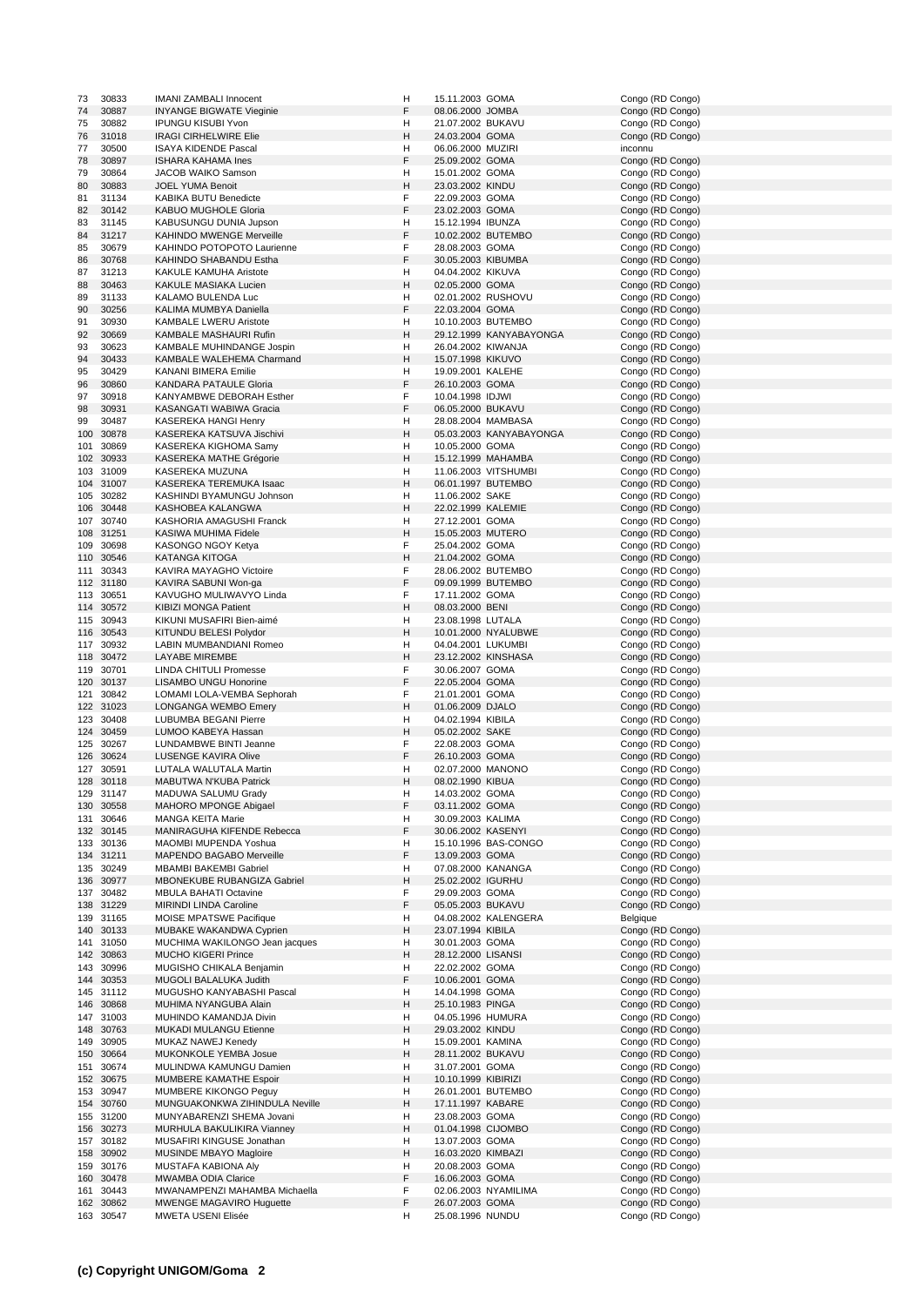| 73        | 30833                  | <b>IMANI ZAMBALI Innocent</b>                  | н      | 15.11.2003 GOMA                     |                         | Congo (RD Congo)                     |
|-----------|------------------------|------------------------------------------------|--------|-------------------------------------|-------------------------|--------------------------------------|
| 74        | 30887                  | <b>INYANGE BIGWATE Vieginie</b>                | F      | 08.06.2000 JOMBA                    |                         | Congo (RD Congo)                     |
| 75        | 30882                  | <b>IPUNGU KISUBI Yvon</b>                      | н      | 21.07.2002 BUKAVU                   |                         | Congo (RD Congo)                     |
|           |                        |                                                |        |                                     |                         |                                      |
| 76        | 31018                  | <b>IRAGI CIRHELWIRE Elie</b>                   | н      | 24.03.2004 GOMA                     |                         | Congo (RD Congo)                     |
| 77        | 30500                  | <b>ISAYA KIDENDE Pascal</b>                    | н      | 06.06.2000 MUZIRI                   |                         | inconnu                              |
| 78        | 30897                  | ISHARA KAHAMA Ines                             | F      | 25.09.2002 GOMA                     |                         | Congo (RD Congo)                     |
| 79        | 30864                  | JACOB WAIKO Samson                             | н      | 15.01.2002 GOMA                     |                         | Congo (RD Congo)                     |
| 80        | 30883                  | <b>JOEL YUMA Benoit</b>                        | н      | 23.03.2002 KINDU                    |                         |                                      |
|           |                        |                                                |        |                                     |                         | Congo (RD Congo)                     |
| 81        | 31134                  | KABIKA BUTU Benedicte                          | F      | 22.09.2003 GOMA                     |                         | Congo (RD Congo)                     |
| 82        | 30142                  | KABUO MUGHOLE Gloria                           | F      | 23.02.2003 GOMA                     |                         | Congo (RD Congo)                     |
| 83        | 31145                  | KABUSUNGU DUNIA Jupson                         | н      | 15.12.1994 IBUNZA                   |                         | Congo (RD Congo)                     |
|           |                        | <b>KAHINDO MWENGE Merveille</b>                | F      |                                     |                         |                                      |
| 84        | 31217                  |                                                |        |                                     | 10.02.2002 BUTEMBO      | Congo (RD Congo)                     |
| 85        | 30679                  | KAHINDO POTOPOTO Laurienne                     | F      | 28.08.2003 GOMA                     |                         | Congo (RD Congo)                     |
| 86        | 30768                  | KAHINDO SHABANDU Estha                         | F      | 30.05.2003 KIBUMBA                  |                         | Congo (RD Congo)                     |
| 87        | 31213                  | KAKULE KAMUHA Aristote                         | н      | 04.04.2002 KIKUVA                   |                         | Congo (RD Congo)                     |
| 88        | 30463                  | KAKULE MASIAKA Lucien                          | н      | 02.05.2000 GOMA                     |                         | Congo (RD Congo)                     |
|           |                        |                                                |        |                                     |                         |                                      |
| 89        | 31133                  | KALAMO BULENDA Luc                             | н      |                                     | 02.01.2002 RUSHOVU      | Congo (RD Congo)                     |
| 90        | 30256                  | KALIMA MUMBYA Daniella                         | F      | 22.03.2004 GOMA                     |                         | Congo (RD Congo)                     |
| 91        | 30930                  | <b>KAMBALE LWERU Aristote</b>                  | н      |                                     | 10.10.2003 BUTEMBO      | Congo (RD Congo)                     |
| 92        | 30669                  | KAMBALE MASHAURI Rufin                         | н      |                                     | 29.12.1999 KANYABAYONGA | Congo (RD Congo)                     |
|           |                        |                                                |        |                                     |                         |                                      |
| 93        | 30623                  | KAMBALE MUHINDANGE Jospin                      | н      | 26.04.2002 KIWANJA                  |                         | Congo (RD Congo)                     |
| 94        | 30433                  | KAMBALE WALEHEMA Charmand                      | н      | 15.07.1998 KIKUVO                   |                         | Congo (RD Congo)                     |
| 95        | 30429                  | <b>KANANI BIMERA Emilie</b>                    | н      | 19.09.2001 KALEHE                   |                         | Congo (RD Congo)                     |
| 96        | 30860                  | KANDARA PATAULE Gloria                         | F      | 26.10.2003 GOMA                     |                         | Congo (RD Congo)                     |
|           |                        |                                                | F      |                                     |                         | Congo (RD Congo)                     |
| 97        | 30918                  | KANYAMBWE DEBORAH Esther                       |        | 10.04.1998 IDJWI                    |                         |                                      |
| 98        | 30931                  | KASANGATI WABIWA Gracia                        | F      | 06.05.2000 BUKAVU                   |                         | Congo (RD Congo)                     |
| 99        | 30487                  | KASEREKA HANGI Henry                           | н      |                                     | 28.08.2004 MAMBASA      | Congo (RD Congo)                     |
| 100       | 30878                  | KASEREKA KATSUVA Jischivi                      | н      |                                     | 05.03.2003 KANYABAYONGA | Congo (RD Congo)                     |
| 101       | 30869                  | KASEREKA KIGHOMA Samy                          | н      | 10.05.2000 GOMA                     |                         | Congo (RD Congo)                     |
|           |                        |                                                |        |                                     |                         |                                      |
|           | 102 30933              | KASEREKA MATHE Grégorie                        | н      |                                     | 15.12.1999 MAHAMBA      | Congo (RD Congo)                     |
|           | 103 31009              | KASEREKA MUZUNA                                | н      |                                     | 11.06.2003 VITSHUMBI    | Congo (RD Congo)                     |
|           | 104 31007              | KASEREKA TEREMUKA Isaac                        | н      |                                     | 06.01.1997 BUTEMBO      | Congo (RD Congo)                     |
|           |                        |                                                |        |                                     |                         |                                      |
|           | 105 30282              | KASHINDI BYAMUNGU Johnson                      | н      | 11.06.2002 SAKE                     |                         | Congo (RD Congo)                     |
|           | 106 30448              | KASHOBEA KALANGWA                              | н      | 22.02.1999 KALEMIE                  |                         | Congo (RD Congo)                     |
|           | 107 30740              | KASHORIA AMAGUSHI Franck                       | н      | 27.12.2001 GOMA                     |                         | Congo (RD Congo)                     |
|           | 108 31251              | KASIWA MUHIMA Fidele                           | н      | 15.05.2003 MUTERO                   |                         | Congo (RD Congo)                     |
|           |                        |                                                | F      |                                     |                         |                                      |
|           | 109 30698              | KASONGO NGOY Ketya                             |        | 25.04.2002 GOMA                     |                         | Congo (RD Congo)                     |
|           | 110 30546              | <b>KATANGA KITOGA</b>                          | н      | 21.04.2002 GOMA                     |                         | Congo (RD Congo)                     |
| 111       | 30343                  | KAVIRA MAYAGHO Victoire                        | F      |                                     | 28.06.2002 BUTEMBO      | Congo (RD Congo)                     |
|           | 112 31180              | KAVIRA SABUNI Won-ga                           | F      |                                     | 09.09.1999 BUTEMBO      | Congo (RD Congo)                     |
|           | 113 30651              | KAVUGHO MULIWAVYO Linda                        | F      | 17.11.2002 GOMA                     |                         | Congo (RD Congo)                     |
|           |                        |                                                |        |                                     |                         |                                      |
|           | 114 30572              | <b>KIBIZI MONGA Patient</b>                    | н      | 08.03.2000 BENI                     |                         | Congo (RD Congo)                     |
|           | 115 30943              | KIKUNI MUSAFIRI Bien-aimé                      | н      | 23.08.1998 LUTALA                   |                         | Congo (RD Congo)                     |
|           | 116 30543              | KITUNDU BELESI Polydor                         | н      |                                     | 10.01.2000 NYALUBWE     | Congo (RD Congo)                     |
|           | 117 30932              | LABIN MUMBANDIANI Romeo                        | н      | 04.04.2001 LUKUMBI                  |                         | Congo (RD Congo)                     |
|           |                        |                                                |        |                                     |                         |                                      |
|           | 118 30472              | LAYABE MIREMBE                                 | н      |                                     | 23.12.2002 KINSHASA     | Congo (RD Congo)                     |
|           | 119 30701              | LINDA CHITULI Promesse                         | F      | 30.06.2007 GOMA                     |                         | Congo (RD Congo)                     |
|           |                        |                                                | F      |                                     |                         |                                      |
|           |                        |                                                |        |                                     |                         |                                      |
| 120 30137 |                        | <b>LISAMBO UNGU Honorine</b>                   |        | 22.05.2004 GOMA                     |                         | Congo (RD Congo)                     |
|           | 121 30842              | LOMAMI LOLA-VEMBA Sephorah                     | F      | 21.01.2001 GOMA                     |                         | Congo (RD Congo)                     |
|           | 122 31023              | <b>LONGANGA WEMBO Emery</b>                    | H      | 01.06.2009 DJALO                    |                         | Congo (RD Congo)                     |
|           | 123 30408              | LUBUMBA BEGANI Pierre                          | н      | 04.02.1994 KIBILA                   |                         | Congo (RD Congo)                     |
|           | 124 30459              | LUMOO KABEYA Hassan                            | н      | 05.02.2002 SAKE                     |                         | Congo (RD Congo)                     |
|           |                        |                                                |        |                                     |                         |                                      |
|           | 125 30267              | LUNDAMBWE BINTI Jeanne                         | F      | 22.08.2003 GOMA                     |                         | Congo (RD Congo)                     |
|           | 126 30624              | LUSENGE KAVIRA Olive                           | F      | 26.10.2003 GOMA                     |                         | Congo (RD Congo)                     |
|           | 127 30591              | LUTALA WALUTALA Martin                         | н      | 02.07.2000 MANONO                   |                         | Congo (RD Congo)                     |
|           | 128 30118              | MABUTWA N'KUBA Patrick                         | н      | 08.02.1990 KIBUA                    |                         | Congo (RD Congo)                     |
|           |                        |                                                |        |                                     |                         |                                      |
| 129       | 31147                  | MADUWA SALUMU Grady                            | н      | 14.03.2002 GOMA                     |                         | Congo (RD Congo)                     |
|           | 130 30558              | MAHORO MPONGE Abigael                          | F      | 03.11.2002 GOMA                     |                         | Congo (RD Congo)                     |
|           | 131 30646              | MANGA KEITA Marie                              | н      | 30.09.2003 KALIMA                   |                         | Congo (RD Congo)                     |
|           | 132 30145              | MANIRAGUHA KIFENDE Rebecca                     | F      | 30.06.2002 KASENYI                  |                         | Congo (RD Congo)                     |
|           | 133 30136              | MAOMBI MUPENDA Yoshua                          | н      |                                     | 15.10.1996 BAS-CONGO    | Congo (RD Congo)                     |
|           |                        |                                                |        |                                     |                         |                                      |
|           | 134 31211              | MAPENDO BAGABO Merveille                       | F      | 13.09.2003 GOMA                     |                         | Congo (RD Congo)                     |
|           | 135 30249              | <b>MBAMBI BAKEMBI Gabriel</b>                  | н      |                                     | 07.08.2000 KANANGA      | Congo (RD Congo)                     |
|           | 136 30977              | MBONEKUBE RUBANGIZA Gabriel                    | н      | 25.02.2002 IGURHU                   |                         | Congo (RD Congo)                     |
|           | 137 30482              | <b>MBULA BAHATI Octavine</b>                   | F      | 29.09.2003 GOMA                     |                         | Congo (RD Congo)                     |
|           | 138 31229              | MIRINDI LINDA Caroline                         | F      | 05.05.2003 BUKAVU                   |                         | Congo (RD Congo)                     |
|           |                        |                                                | н      |                                     |                         | Belgique                             |
|           | 139 31165              | MOISE MPATSWE Pacifique                        |        |                                     | 04.08.2002 KALENGERA    |                                      |
|           | 140 30133              | MUBAKE WAKANDWA Cyprien                        | н      | 23.07.1994 KIBILA                   |                         | Congo (RD Congo)                     |
|           | 141 31050              | MUCHIMA WAKILONGO Jean jacques                 | н      | 30.01.2003 GOMA                     |                         | Congo (RD Congo)                     |
|           | 142 30863              | <b>MUCHO KIGERI Prince</b>                     | н      | 28.12.2000 LISANSI                  |                         | Congo (RD Congo)                     |
|           | 143 30996              | MUGISHO CHIKALA Benjamin                       | н      | 22.02.2002 GOMA                     |                         | Congo (RD Congo)                     |
|           |                        |                                                |        |                                     |                         |                                      |
|           | 144 30353              | MUGOLI BALALUKA Judith                         | F      | 10.06.2001 GOMA                     |                         | Congo (RD Congo)                     |
|           | 145 31112              | MUGUSHO KANYABASHI Pascal                      | н      | 14.04.1998 GOMA                     |                         | Congo (RD Congo)                     |
|           | 146 30868              | MUHIMA NYANGUBA Alain                          | н      | 25.10.1983 PINGA                    |                         | Congo (RD Congo)                     |
|           | 147 31003              | MUHINDO KAMANDJA Divin                         | н      | 04.05.1996 HUMURA                   |                         | Congo (RD Congo)                     |
|           | 148 30763              | MUKADI MULANGU Etienne                         | н      | 29.03.2002 KINDU                    |                         | Congo (RD Congo)                     |
|           |                        |                                                |        |                                     |                         |                                      |
|           | 149 30905              | MUKAZ NAWEJ Kenedy                             | н      | 15.09.2001 KAMINA                   |                         | Congo (RD Congo)                     |
|           | 150 30664              | MUKONKOLE YEMBA Josue                          | н      | 28.11.2002 BUKAVU                   |                         | Congo (RD Congo)                     |
|           | 151 30674              | MULINDWA KAMUNGU Damien                        | н      | 31.07.2001 GOMA                     |                         | Congo (RD Congo)                     |
|           | 152 30675              | MUMBERE KAMATHE Espoir                         | н      | 10.10.1999 KIBIRIZI                 |                         | Congo (RD Congo)                     |
|           |                        |                                                |        |                                     |                         |                                      |
|           | 153 30947              | MUMBERE KIKONGO Peguy                          | н      |                                     | 26.01.2001 BUTEMBO      | Congo (RD Congo)                     |
|           | 154 30760              | MUNGUAKONKWA ZIHINDULA Neville                 | н      | 17.11.1997 KABARE                   |                         | Congo (RD Congo)                     |
|           | 155 31200              | MUNYABARENZI SHEMA Jovani                      | н      | 23.08.2003 GOMA                     |                         | Congo (RD Congo)                     |
|           | 156 30273              | MURHULA BAKULIKIRA Vianney                     | н      | 01.04.1998 CIJOMBO                  |                         | Congo (RD Congo)                     |
|           |                        |                                                |        |                                     |                         |                                      |
|           | 157 30182              | MUSAFIRI KINGUSE Jonathan                      | н      | 13.07.2003 GOMA                     |                         | Congo (RD Congo)                     |
|           | 158 30902              | MUSINDE MBAYO Magloire                         | н      | 16.03.2020 KIMBAZI                  |                         | Congo (RD Congo)                     |
|           | 159 30176              | MUSTAFA KABIONA Aly                            | н      | 20.08.2003 GOMA                     |                         | Congo (RD Congo)                     |
|           | 160 30478              | MWAMBA ODIA Clarice                            | F      | 16.06.2003 GOMA                     |                         | Congo (RD Congo)                     |
|           |                        |                                                |        |                                     |                         |                                      |
| 161       | 30443                  | MWANAMPENZI MAHAMBA Michaella                  | F      |                                     | 02.06.2003 NYAMILIMA    | Congo (RD Congo)                     |
|           | 162 30862<br>163 30547 | MWENGE MAGAVIRO Huguette<br>MWETA USENI Elisée | F<br>H | 26.07.2003 GOMA<br>25.08.1996 NUNDU |                         | Congo (RD Congo)<br>Congo (RD Congo) |